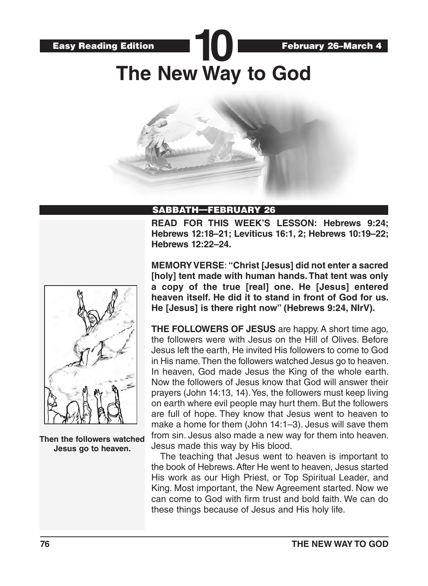

## SABBATH—FEBRUARY 26

**READ FOR THIS WEEK'S LESSON: Hebrews 9:24; Hebrews 12:18–21; Leviticus 16:1, 2; Hebrews 10:19–22; Hebrews 12:22–24.**



**Then the followers watched Jesus go to heaven.**

**MEMORY VERSE**: **"Christ [Jesus] did not enter a sacred [holy] tent made with human hands. That tent was only a copy of the true [real] one. He [Jesus] entered heaven itself. He did it to stand in front of God for us. He [Jesus] is there right now" (Hebrews 9:24, NIrV).** 

**THE FOLLOWERS OF JESUS** are happy. A short time ago, the followers were with Jesus on the Hill of Olives. Before Jesus left the earth, He invited His followers to come to God in His name. Then the followers watched Jesus go to heaven. In heaven, God made Jesus the King of the whole earth. Now the followers of Jesus know that God will answer their prayers (John 14:13, 14). Yes, the followers must keep living on earth where evil people may hurt them. But the followers are full of hope. They know that Jesus went to heaven to make a home for them (John 14:1–3). Jesus will save them from sin. Jesus also made a new way for them into heaven. Jesus made this way by His blood.

The teaching that Jesus went to heaven is important to the book of Hebrews. After He went to heaven, Jesus started His work as our High Priest, or Top Spiritual Leader, and King. Most important, the New Agreement started. Now we can come to God with firm trust and bold faith. We can do these things because of Jesus and His holy life.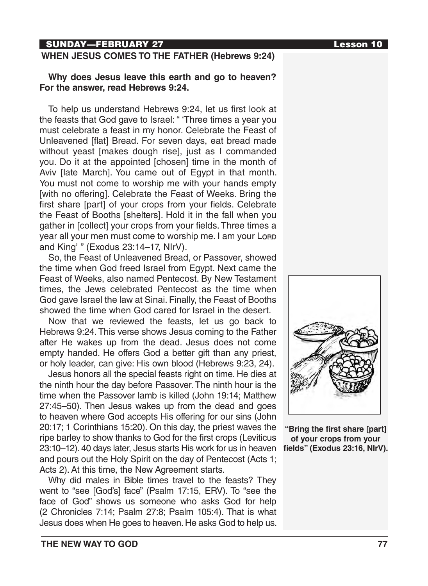## SUNDAY—FEBRUARY 27 Lesson 10

### **WHEN JESUS COMES TO THE FATHER (Hebrews 9:24)**

## **Why does Jesus leave this earth and go to heaven? For the answer, read Hebrews 9:24.**

To help us understand Hebrews 9:24, let us first look at the feasts that God gave to Israel: " 'Three times a year you must celebrate a feast in my honor. Celebrate the Feast of Unleavened [flat] Bread. For seven days, eat bread made without yeast [makes dough rise], just as I commanded you. Do it at the appointed [chosen] time in the month of Aviv [late March]. You came out of Egypt in that month. You must not come to worship me with your hands empty [with no offering]. Celebrate the Feast of Weeks. Bring the first share [part] of your crops from your fields. Celebrate the Feast of Booths [shelters]. Hold it in the fall when you gather in [collect] your crops from your fields. Three times a year all your men must come to worship me. I am your Lorp and King' " (Exodus 23:14–17, NIrV).

So, the Feast of Unleavened Bread, or Passover, showed the time when God freed Israel from Egypt. Next came the Feast of Weeks, also named Pentecost. By New Testament times, the Jews celebrated Pentecost as the time when God gave Israel the law at Sinai. Finally, the Feast of Booths showed the time when God cared for Israel in the desert.

Now that we reviewed the feasts, let us go back to Hebrews 9:24. This verse shows Jesus coming to the Father after He wakes up from the dead. Jesus does not come empty handed. He offers God a better gift than any priest, or holy leader, can give: His own blood (Hebrews 9:23, 24).

Jesus honors all the special feasts right on time. He dies at the ninth hour the day before Passover. The ninth hour is the time when the Passover lamb is killed (John 19:14; Matthew 27:45–50). Then Jesus wakes up from the dead and goes to heaven where God accepts His offering for our sins (John 20:17; 1 Corinthians 15:20). On this day, the priest waves the ripe barley to show thanks to God for the first crops (Leviticus 23:10–12). 40 days later, Jesus starts His work for us in heaven and pours out the Holy Spirit on the day of Pentecost (Acts 1; Acts 2). At this time, the New Agreement starts.

Why did males in Bible times travel to the feasts? They went to "see [God's] face" (Psalm 17:15, ERV). To "see the face of God" shows us someone who asks God for help (2 Chronicles 7:14; Psalm 27:8; Psalm 105:4). That is what Jesus does when He goes to heaven. He asks God to help us.



**"Bring the first share [part] of your crops from your fields" (Exodus 23:16, NIrV).**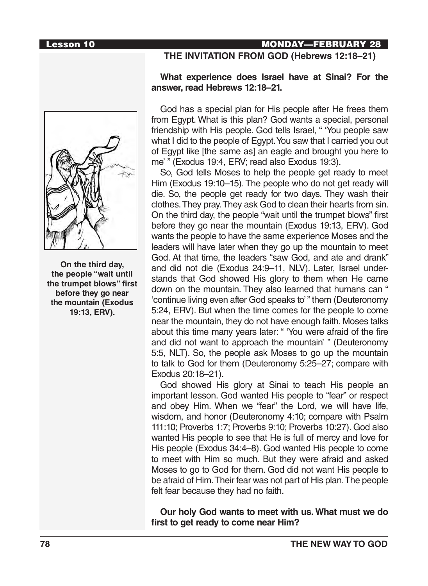### Lesson 10 MONDAY—FEBRUARY 28

**On the third day, the people "wait until the trumpet blows" first before they go near the mountain (Exodus 19:13, ERV).**

## **THE INVITATION FROM GOD (Hebrews 12:18–21)**

# **What experience does Israel have at Sinai? For the**

**answer, read Hebrews 12:18–21.** 

## God has a special plan for His people after He frees them from Egypt. What is this plan? God wants a special, personal friendship with His people. God tells Israel, " 'You people saw what I did to the people of Egypt. You saw that I carried you out

of Egypt like [the same as] an eagle and brought you here to

me' " (Exodus 19:4, ERV; read also Exodus 19:3). So, God tells Moses to help the people get ready to meet Him (Exodus 19:10–15). The people who do not get ready will die. So, the people get ready for two days. They wash their clothes. They pray. They ask God to clean their hearts from sin. On the third day, the people "wait until the trumpet blows" first before they go near the mountain (Exodus 19:13, ERV). God wants the people to have the same experience Moses and the leaders will have later when they go up the mountain to meet God. At that time, the leaders "saw God, and ate and drank" and did not die (Exodus 24:9–11, NLV). Later, Israel understands that God showed His glory to them when He came down on the mountain. They also learned that humans can " 'continue living even after God speaks to' " them (Deuteronomy 5:24, ERV). But when the time comes for the people to come near the mountain, they do not have enough faith. Moses talks about this time many years later: " 'You were afraid of the fire and did not want to approach the mountain' " (Deuteronomy 5:5, NLT). So, the people ask Moses to go up the mountain to talk to God for them (Deuteronomy 5:25–27; compare with Exodus 20:18–21).

God showed His glory at Sinai to teach His people an important lesson. God wanted His people to "fear" or respect and obey Him. When we "fear" the Lord, we will have life, wisdom, and honor (Deuteronomy 4:10; compare with Psalm 111:10; Proverbs 1:7; Proverbs 9:10; Proverbs 10:27). God also wanted His people to see that He is full of mercy and love for His people (Exodus 34:4–8). God wanted His people to come to meet with Him so much. But they were afraid and asked Moses to go to God for them. God did not want His people to be afraid of Him. Their fear was not part of His plan. The people felt fear because they had no faith.

**Our holy God wants to meet with us. What must we do first to get ready to come near Him?**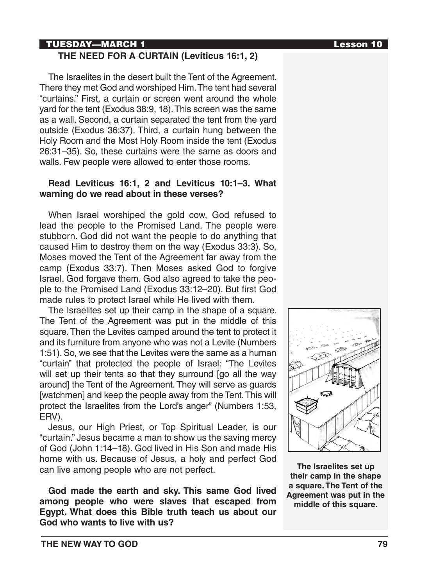## TUESDAY—MARCH 1 Lesson 10

## **THE NEED FOR A CURTAIN (Leviticus 16:1, 2)**

The Israelites in the desert built the Tent of the Agreement. There they met God and worshiped Him. The tent had several "curtains." First, a curtain or screen went around the whole yard for the tent (Exodus 38:9, 18). This screen was the same as a wall. Second, a curtain separated the tent from the yard outside (Exodus 36:37). Third, a curtain hung between the Holy Room and the Most Holy Room inside the tent (Exodus 26:31–35). So, these curtains were the same as doors and walls. Few people were allowed to enter those rooms.

## **Read Leviticus 16:1, 2 and Leviticus 10:1–3. What warning do we read about in these verses?**

When Israel worshiped the gold cow, God refused to lead the people to the Promised Land. The people were stubborn. God did not want the people to do anything that caused Him to destroy them on the way (Exodus 33:3). So, Moses moved the Tent of the Agreement far away from the camp (Exodus 33:7). Then Moses asked God to forgive Israel. God forgave them. God also agreed to take the people to the Promised Land (Exodus 33:12–20). But first God made rules to protect Israel while He lived with them.

The Israelites set up their camp in the shape of a square. The Tent of the Agreement was put in the middle of this square. Then the Levites camped around the tent to protect it and its furniture from anyone who was not a Levite (Numbers 1:51). So, we see that the Levites were the same as a human "curtain" that protected the people of Israel: "The Levites will set up their tents so that they surround [go all the way around] the Tent of the Agreement. They will serve as guards [watchmen] and keep the people away from the Tent. This will protect the Israelites from the Lord's anger" (Numbers 1:53, ERV).

Jesus, our High Priest, or Top Spiritual Leader, is our "curtain." Jesus became a man to show us the saving mercy of God (John 1:14–18). God lived in His Son and made His home with us. Because of Jesus, a holy and perfect God can live among people who are not perfect.

**God made the earth and sky. This same God lived among people who were slaves that escaped from Egypt. What does this Bible truth teach us about our God who wants to live with us?**

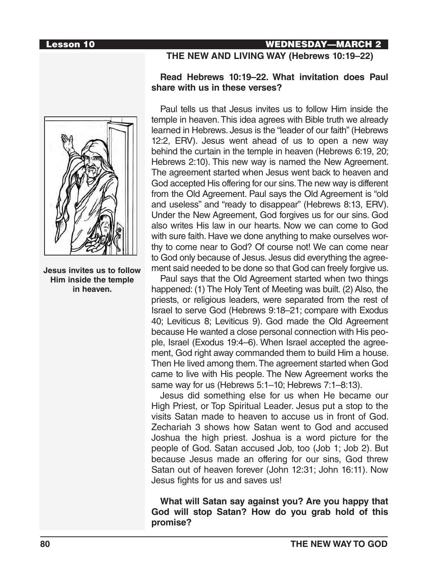

**Jesus invites us to follow Him inside the temple in heaven.**

## Lesson 10 WEDNESDAY—MARCH 2

## **THE NEW AND LIVING WAY (Hebrews 10:19–22)**

## **Read Hebrews 10:19–22. What invitation does Paul share with us in these verses?**

Paul tells us that Jesus invites us to follow Him inside the temple in heaven. This idea agrees with Bible truth we already learned in Hebrews. Jesus is the "leader of our faith" (Hebrews 12:2, ERV). Jesus went ahead of us to open a new way behind the curtain in the temple in heaven (Hebrews 6:19, 20; Hebrews 2:10). This new way is named the New Agreement. The agreement started when Jesus went back to heaven and God accepted His offering for our sins. The new way is different from the Old Agreement. Paul says the Old Agreement is "old and useless" and "ready to disappear" (Hebrews 8:13, ERV). Under the New Agreement, God forgives us for our sins. God also writes His law in our hearts. Now we can come to God with sure faith. Have we done anything to make ourselves worthy to come near to God? Of course not! We can come near to God only because of Jesus. Jesus did everything the agreement said needed to be done so that God can freely forgive us.

Paul says that the Old Agreement started when two things happened: (1) The Holy Tent of Meeting was built. (2) Also, the priests, or religious leaders, were separated from the rest of Israel to serve God (Hebrews 9:18–21; compare with Exodus 40; Leviticus 8; Leviticus 9). God made the Old Agreement because He wanted a close personal connection with His people, Israel (Exodus 19:4–6). When Israel accepted the agreement, God right away commanded them to build Him a house. Then He lived among them. The agreement started when God came to live with His people. The New Agreement works the same way for us (Hebrews 5:1–10; Hebrews 7:1–8:13).

Jesus did something else for us when He became our High Priest, or Top Spiritual Leader. Jesus put a stop to the visits Satan made to heaven to accuse us in front of God. Zechariah 3 shows how Satan went to God and accused Joshua the high priest. Joshua is a word picture for the people of God. Satan accused Job, too (Job 1; Job 2). But because Jesus made an offering for our sins, God threw Satan out of heaven forever (John 12:31; John 16:11). Now Jesus fights for us and saves us!

**What will Satan say against you? Are you happy that God will stop Satan? How do you grab hold of this promise?**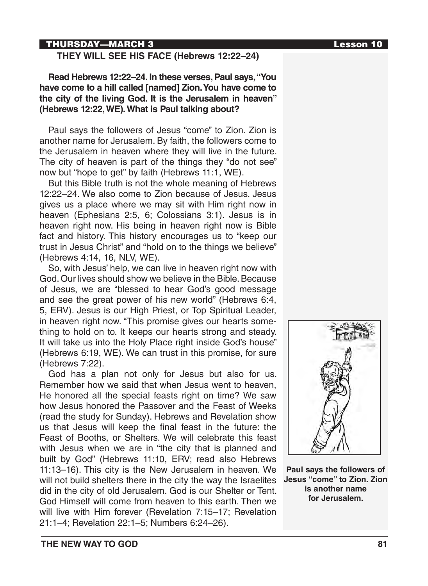## THURSDAY—MARCH 3 Lesson 10

## **THEY WILL SEE HIS FACE (Hebrews 12:22–24)**

**Read Hebrews 12:22–24. In these verses, Paul says, "You have come to a hill called [named] Zion. You have come to the city of the living God. It is the Jerusalem in heaven" (Hebrews 12:22, WE). What is Paul talking about?**

Paul says the followers of Jesus "come" to Zion. Zion is another name for Jerusalem. By faith, the followers come to the Jerusalem in heaven where they will live in the future. The city of heaven is part of the things they "do not see" now but "hope to get" by faith (Hebrews 11:1, WE).

But this Bible truth is not the whole meaning of Hebrews 12:22–24. We also come to Zion because of Jesus. Jesus gives us a place where we may sit with Him right now in heaven (Ephesians 2:5, 6; Colossians 3:1). Jesus is in heaven right now. His being in heaven right now is Bible fact and history. This history encourages us to "keep our trust in Jesus Christ" and "hold on to the things we believe" (Hebrews 4:14, 16, NLV, WE).

So, with Jesus' help, we can live in heaven right now with God. Our lives should show we believe in the Bible. Because of Jesus, we are "blessed to hear God's good message and see the great power of his new world" (Hebrews 6:4, 5, ERV). Jesus is our High Priest, or Top Spiritual Leader, in heaven right now. "This promise gives our hearts something to hold on to. It keeps our hearts strong and steady. It will take us into the Holy Place right inside God's house" (Hebrews 6:19, WE). We can trust in this promise, for sure (Hebrews 7:22).

God has a plan not only for Jesus but also for us. Remember how we said that when Jesus went to heaven, He honored all the special feasts right on time? We saw how Jesus honored the Passover and the Feast of Weeks (read the study for Sunday). Hebrews and Revelation show us that Jesus will keep the final feast in the future: the Feast of Booths, or Shelters. We will celebrate this feast with Jesus when we are in "the city that is planned and built by God" (Hebrews 11:10, ERV; read also Hebrews 11:13–16). This city is the New Jerusalem in heaven. We will not build shelters there in the city the way the Israelites did in the city of old Jerusalem. God is our Shelter or Tent. God Himself will come from heaven to this earth. Then we will live with Him forever (Revelation 7:15–17; Revelation 21:1–4; Revelation 22:1–5; Numbers 6:24–26).



**Paul says the followers of Jesus "come" to Zion. Zion is another name for Jerusalem.**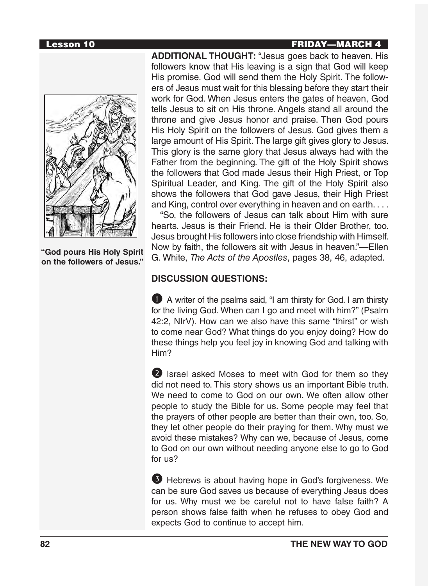**"God pours His Holy Spirit on the followers of Jesus."**

**ADDITIONAL THOUGHT:** "Jesus goes back to heaven. His followers know that His leaving is a sign that God will keep His promise. God will send them the Holy Spirit. The followers of Jesus must wait for this blessing before they start their work for God. When Jesus enters the gates of heaven, God tells Jesus to sit on His throne. Angels stand all around the throne and give Jesus honor and praise. Then God pours His Holy Spirit on the followers of Jesus. God gives them a large amount of His Spirit. The large gift gives glory to Jesus. This glory is the same glory that Jesus always had with the Father from the beginning. The gift of the Holy Spirit shows the followers that God made Jesus their High Priest, or Top Spiritual Leader, and King. The gift of the Holy Spirit also shows the followers that God gave Jesus, their High Priest and King, control over everything in heaven and on earth. . . .

"So, the followers of Jesus can talk about Him with sure hearts. Jesus is their Friend. He is their Older Brother, too. Jesus brought His followers into close friendship with Himself. Now by faith, the followers sit with Jesus in heaven."—Ellen G. White, *The Acts of the Apostles*, pages 38, 46, adapted.

## **DISCUSSION QUESTIONS:**

1 A writer of the psalms said, "I am thirsty for God. I am thirsty for the living God. When can I go and meet with him?" (Psalm 42:2, NIrV). How can we also have this same "thirst" or wish to come near God? What things do you enjoy doing? How do these things help you feel joy in knowing God and talking with Him?

2 Israel asked Moses to meet with God for them so they did not need to. This story shows us an important Bible truth. We need to come to God on our own. We often allow other people to study the Bible for us. Some people may feel that the prayers of other people are better than their own, too. So, they let other people do their praying for them. Why must we avoid these mistakes? Why can we, because of Jesus, come to God on our own without needing anyone else to go to God for us?

3 Hebrews is about having hope in God's forgiveness. We can be sure God saves us because of everything Jesus does for us. Why must we be careful not to have false faith? A person shows false faith when he refuses to obey God and expects God to continue to accept him.

## Lesson 10 FRIDAY—MARCH 4